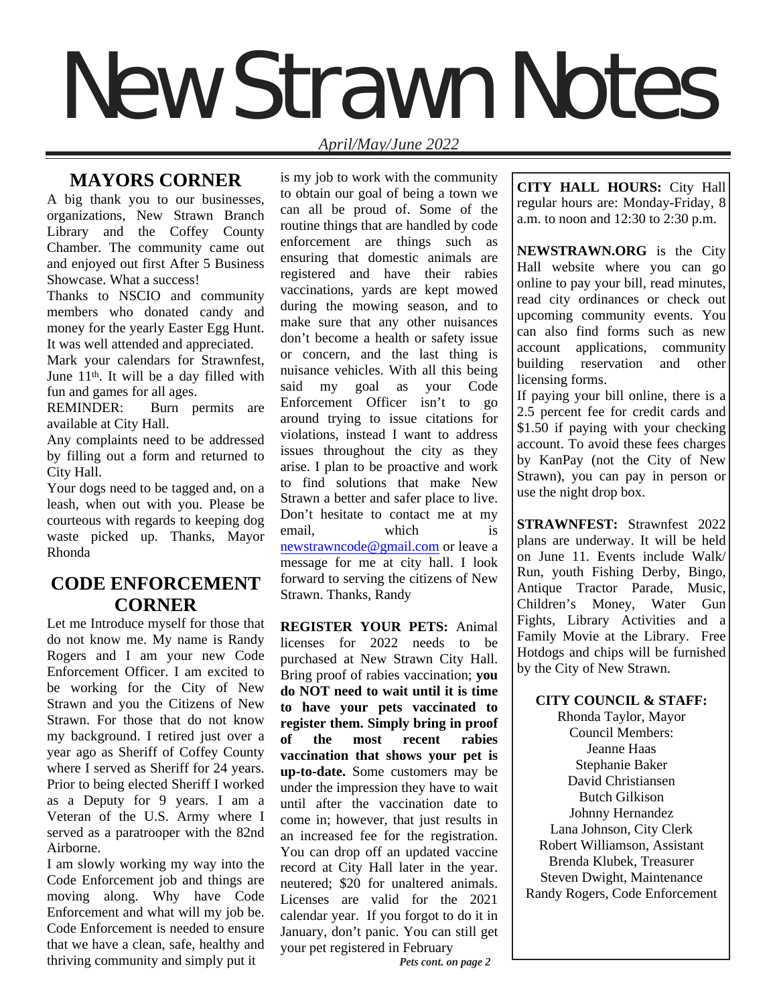# New Strawn Notes

# *April/May/June 2022*

# **MAYORS CORNER**

A big thank you to our businesses, organizations, New Strawn Branch Library and the Coffey County Chamber. The community came out and enjoyed out first After 5 Business Showcase. What a success!

Thanks to NSCIO and community members who donated candy and money for the yearly Easter Egg Hunt. It was well attended and appreciated.

Mark your calendars for Strawnfest, June 11th. It will be a day filled with fun and games for all ages.

REMINDER: Burn permits are available at City Hall.

Any complaints need to be addressed by filling out a form and returned to City Hall.

Your dogs need to be tagged and, on a leash, when out with you. Please be courteous with regards to keeping dog waste picked up. Thanks, Mayor Rhonda

# **CODE ENFORCEMENT CORNER**

Let me Introduce myself for those that do not know me. My name is Randy Rogers and I am your new Code Enforcement Officer. I am excited to be working for the City of New Strawn and you the Citizens of New Strawn. For those that do not know my background. I retired just over a year ago as Sheriff of Coffey County where I served as Sheriff for 24 years. Prior to being elected Sheriff I worked as a Deputy for 9 years. I am a Veteran of the U.S. Army where I served as a paratrooper with the 82nd Airborne.

I am slowly working my way into the Code Enforcement job and things are moving along. Why have Code Enforcement and what will my job be. Code Enforcement is needed to ensure that we have a clean, safe, healthy and thriving community and simply put it

is my job to work with the community to obtain our goal of being a town we can all be proud of. Some of the routine things that are handled by code enforcement are things such as ensuring that domestic animals are registered and have their rabies vaccinations, yards are kept mowed during the mowing season, and to make sure that any other nuisances don't become a health or safety issue or concern, and the last thing is nuisance vehicles. With all this being said my goal as your Code Enforcement Officer isn't to go around trying to issue citations for violations, instead I want to address issues throughout the city as they arise. I plan to be proactive and work to find solutions that make New Strawn a better and safer place to live. Don't hesitate to contact me at my email, which is newstrawncode@gmail.com or leave a message for me at city hall. I look forward to serving the citizens of New Strawn. Thanks, Randy

**REGISTER YOUR PETS:** Animal licenses for 2022 needs to be purchased at New Strawn City Hall. Bring proof of rabies vaccination; **you do NOT need to wait until it is time to have your pets vaccinated to register them. Simply bring in proof of the most recent rabies vaccination that shows your pet is up-to-date.** Some customers may be under the impression they have to wait until after the vaccination date to come in; however, that just results in an increased fee for the registration. You can drop off an updated vaccine record at City Hall later in the year. neutered; \$20 for unaltered animals. Licenses are valid for the 2021 calendar year. If you forgot to do it in January, don't panic. You can still get your pet registered in February

**CITY HALL HOURS:** City Hall regular hours are: Monday-Friday, 8 a.m. to noon and 12:30 to 2:30 p.m.

**NEWSTRAWN.ORG** is the City Hall website where you can go online to pay your bill, read minutes, read city ordinances or check out upcoming community events. You can also find forms such as new account applications, community building reservation and other licensing forms.

If paying your bill online, there is a 2.5 percent fee for credit cards and \$1.50 if paying with your checking account. To avoid these fees charges by KanPay (not the City of New Strawn), you can pay in person or use the night drop box.

**STRAWNFEST:** Strawnfest 2022 plans are underway. It will be held on June 11. Events include Walk/ Run, youth Fishing Derby, Bingo, Antique Tractor Parade, Music, Children's Money, Water Gun Fights, Library Activities and a Family Movie at the Library. Free Hotdogs and chips will be furnished by the City of New Strawn.

# **CITY COUNCIL & STAFF:**

Rhonda Taylor, Mayor Council Members: Jeanne Haas Stephanie Baker David Christiansen Butch Gilkison Johnny Hernandez Lana Johnson, City Clerk Robert Williamson, Assistant Brenda Klubek, Treasurer Steven Dwight, Maintenance Randy Rogers, Code Enforcement

 *Pets cont. on page 2*